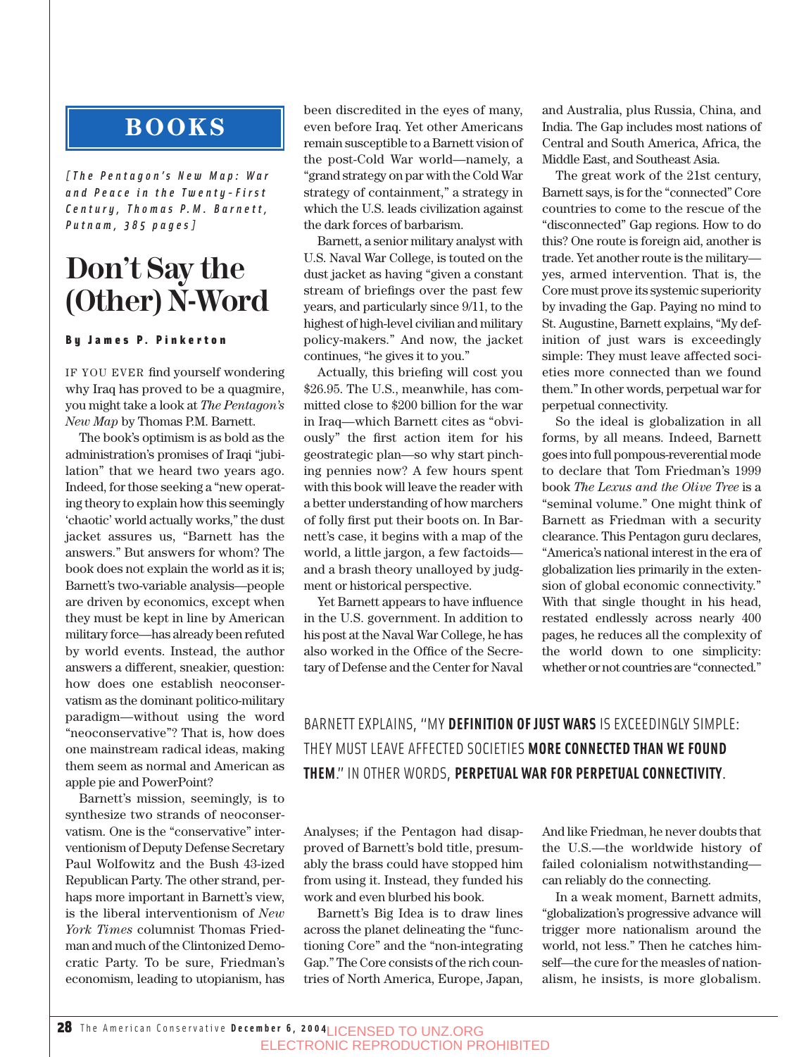## **BOOKS**

*[The Pentagon's New Map: War and Peace in the Twenty-First C e n t u r y , T h o m a s P. M . B a r n e t t , Putnam, 385 pages]*

## **Don't Say the (Other) N-Word**

### By James P. Pinkerton

IF YOU EVER find yourself wondering why Iraq has proved to be a quagmire, you might take a look at *The Pentagon's New Map* by Thomas P.M. Barnett.

The book's optimism is as bold as the administration's promises of Iraqi "jubilation" that we heard two years ago. Indeed, for those seeking a "new operating theory to explain how this seemingly 'chaotic' world actually works," the dust jacket assures us, "Barnett has the answers." But answers for whom? The book does not explain the world as it is; Barnett's two-variable analysis—people are driven by economics, except when they must be kept in line by American military force—has already been refuted by world events. Instead, the author answers a different, sneakier, question: how does one establish neoconservatism as the dominant politico-military paradigm—without using the word "neoconservative"? That is, how does one mainstream radical ideas, making them seem as normal and American as apple pie and PowerPoint?

Barnett's mission, seemingly, is to synthesize two strands of neoconservatism. One is the "conservative" interventionism of Deputy Defense Secretary Paul Wolfowitz and the Bush 43-ized Republican Party. The other strand, perhaps more important in Barnett's view, is the liberal interventionism of *New York Times* columnist Thomas Friedman and much of the Clintonized Democratic Party. To be sure, Friedman's economism, leading to utopianism, has

been discredited in the eyes of many, even before Iraq. Yet other Americans remain susceptible to a Barnett vision of the post-Cold War world—namely, a "grand strategy on par with the Cold War strategy of containment," a strategy in which the U.S. leads civilization against the dark forces of barbarism.

Barnett, a senior military analyst with U.S. Naval War College, is touted on the dust jacket as having "given a constant stream of briefings over the past few years, and particularly since 9/11, to the highest of high-level civilian and military policy-makers." And now, the jacket continues, "he gives it to you."

Actually, this briefing will cost you \$26.95. The U.S., meanwhile, has committed close to \$200 billion for the war in Iraq—which Barnett cites as "obviously" the first action item for his geostrategic plan—so why start pinching pennies now? A few hours spent with this book will leave the reader with a better understanding of how marchers of folly first put their boots on. In Barnett's case, it begins with a map of the world, a little jargon, a few factoids and a brash theory unalloyed by judgment or historical perspective.

Yet Barnett appears to have influence in the U.S. government. In addition to his post at the Naval War College, he has also worked in the Office of the Secretary of Defense and the Center for Naval and Australia, plus Russia, China, and India. The Gap includes most nations of Central and South America, Africa, the Middle East, and Southeast Asia.

The great work of the 21st century, Barnett says, is for the "connected" Core countries to come to the rescue of the "disconnected" Gap regions. How to do this? One route is foreign aid, another is trade. Yet another route is the military yes, armed intervention. That is, the Core must prove its systemic superiority by invading the Gap. Paying no mind to St. Augustine, Barnett explains, "My definition of just wars is exceedingly simple: They must leave affected societies more connected than we found them." In other words, perpetual war for perpetual connectivity.

So the ideal is globalization in all forms, by all means. Indeed, Barnett goes into full pompous-reverential mode to declare that Tom Friedman's 1999 book *The Lexus and the Olive Tree* is a "seminal volume." One might think of Barnett as Friedman with a security clearance. This Pentagon guru declares, "America's national interest in the era of globalization lies primarily in the extension of global economic connectivity." With that single thought in his head, restated endlessly across nearly 400 pages, he reduces all the complexity of the world down to one simplicity: whether or not countries are "connected."

BARNETT EXPLAINS, "MY **DEFINITION OF JUST WARS** IS EXCEEDINGLY SIMPLE: THEY MUST LEAVE AFFECTED SOCIETIES **MORE CONNECTED THAN WE FOUND THEM**." IN OTHER WORDS, **PERPETUAL WAR FOR PERPETUAL CONNECTIVITY**.

Analyses; if the Pentagon had disapproved of Barnett's bold title, presumably the brass could have stopped him from using it. Instead, they funded his work and even blurbed his book.

Barnett's Big Idea is to draw lines across the planet delineating the "functioning Core" and the "non-integrating Gap." The Core consists of the rich countries of North America, Europe, Japan, And like Friedman, he never doubts that the U.S.—the worldwide history of failed colonialism notwithstanding can reliably do the connecting.

In a weak moment, Barnett admits, "globalization's progressive advance will trigger more nationalism around the world, not less." Then he catches himself—the cure for the measles of nationalism, he insists, is more globalism.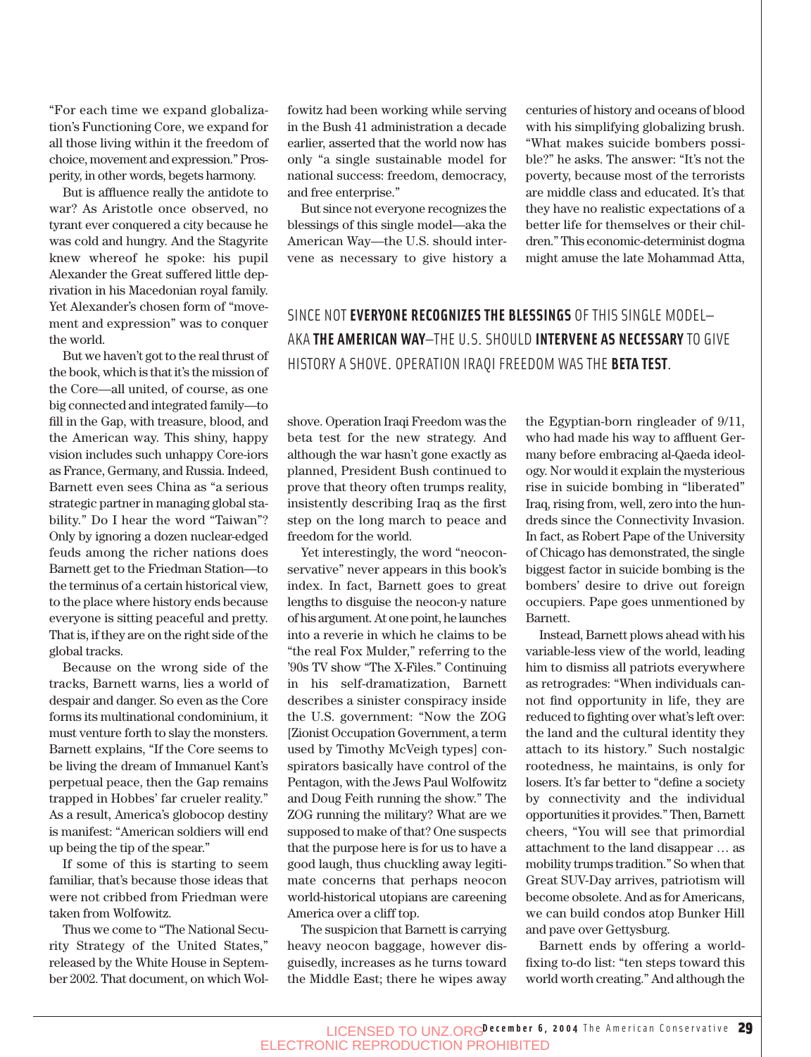"For each time we expand globalization's Functioning Core, we expand for all those living within it the freedom of choice, movement and expression." Prosperity, in other words, begets harmony.

But is affluence really the antidote to war? As Aristotle once observed, no tyrant ever conquered a city because he was cold and hungry. And the Stagyrite knew whereof he spoke: his pupil Alexander the Great suffered little deprivation in his Macedonian royal family. Yet Alexander's chosen form of "movement and expression" was to conquer the world.

But we haven't got to the real thrust of the book, which is that it's the mission of the Core—all united, of course, as one big connected and integrated family—to fill in the Gap, with treasure, blood, and the American way. This shiny, happy vision includes such unhappy Core-iors as France, Germany, and Russia. Indeed, Barnett even sees China as "a serious strategic partner in managing global stability." Do I hear the word "Taiwan"? Only by ignoring a dozen nuclear-edged feuds among the richer nations does Barnett get to the Friedman Station—to the terminus of a certain historical view, to the place where history ends because everyone is sitting peaceful and pretty. That is, if they are on the right side of the global tracks.

Because on the wrong side of the tracks, Barnett warns, lies a world of despair and danger. So even as the Core forms its multinational condominium, it must venture forth to slay the monsters. Barnett explains, "If the Core seems to be living the dream of Immanuel Kant's perpetual peace, then the Gap remains trapped in Hobbes' far crueler reality." As a result, America's globocop destiny is manifest: "American soldiers will end up being the tip of the spear."

If some of this is starting to seem familiar, that's because those ideas that were not cribbed from Friedman were taken from Wolfowitz.

Thus we come to "The National Security Strategy of the United States," released by the White House in September 2002. That document, on which Wolfowitz had been working while serving in the Bush 41 administration a decade earlier, asserted that the world now has only "a single sustainable model for national success: freedom, democracy, and free enterprise."

But since not everyone recognizes the blessings of this single model—aka the American Way—the U.S. should intervene as necessary to give history a centuries of history and oceans of blood with his simplifying globalizing brush. "What makes suicide bombers possible?" he asks. The answer: "It's not the poverty, because most of the terrorists are middle class and educated. It's that they have no realistic expectations of a better life for themselves or their children." This economic-determinist dogma might amuse the late Mohammad Atta,

SINCE NOT **EVERYONE RECOGNIZES THE BLESSINGS** OF THIS SINGLE MODEL— AKA **THE AMERICAN WAY**—THE U.S. SHOULD **INTERVENE AS NECESSARY** TO GIVE HISTORY A SHOVE. OPERATION IRAQI FREEDOM WAS THE **BETA TEST**.

shove. Operation Iraqi Freedom was the beta test for the new strategy. And although the war hasn't gone exactly as planned, President Bush continued to prove that theory often trumps reality, insistently describing Iraq as the first step on the long march to peace and freedom for the world.

Yet interestingly, the word "neoconservative" never appears in this book's index. In fact, Barnett goes to great lengths to disguise the neocon-y nature of his argument. At one point, he launches into a reverie in which he claims to be "the real Fox Mulder," referring to the '90s TV show "The X-Files." Continuing in his self-dramatization, Barnett describes a sinister conspiracy inside the U.S. government: "Now the ZOG [Zionist Occupation Government, a term used by Timothy McVeigh types] conspirators basically have control of the Pentagon, with the Jews Paul Wolfowitz and Doug Feith running the show." The ZOG running the military? What are we supposed to make of that? One suspects that the purpose here is for us to have a good laugh, thus chuckling away legitimate concerns that perhaps neocon world-historical utopians are careening America over a cliff top.

The suspicion that Barnett is carrying heavy neocon baggage, however disguisedly, increases as he turns toward the Middle East; there he wipes away the Egyptian-born ringleader of 9/11, who had made his way to affluent Germany before embracing al-Qaeda ideology. Nor would it explain the mysterious rise in suicide bombing in "liberated" Iraq, rising from, well, zero into the hundreds since the Connectivity Invasion. In fact, as Robert Pape of the University of Chicago has demonstrated, the single biggest factor in suicide bombing is the bombers' desire to drive out foreign occupiers. Pape goes unmentioned by Barnett.

Instead, Barnett plows ahead with his variable-less view of the world, leading him to dismiss all patriots everywhere as retrogrades: "When individuals cannot find opportunity in life, they are reduced to fighting over what's left over: the land and the cultural identity they attach to its history." Such nostalgic rootedness, he maintains, is only for losers. It's far better to "define a society by connectivity and the individual opportunities it provides." Then, Barnett cheers, "You will see that primordial attachment to the land disappear … as mobility trumps tradition." So when that Great SUV-Day arrives, patriotism will become obsolete. And as for Americans, we can build condos atop Bunker Hill and pave over Gettysburg.

Barnett ends by offering a worldfixing to-do list: "ten steps toward this world worth creating." And although the